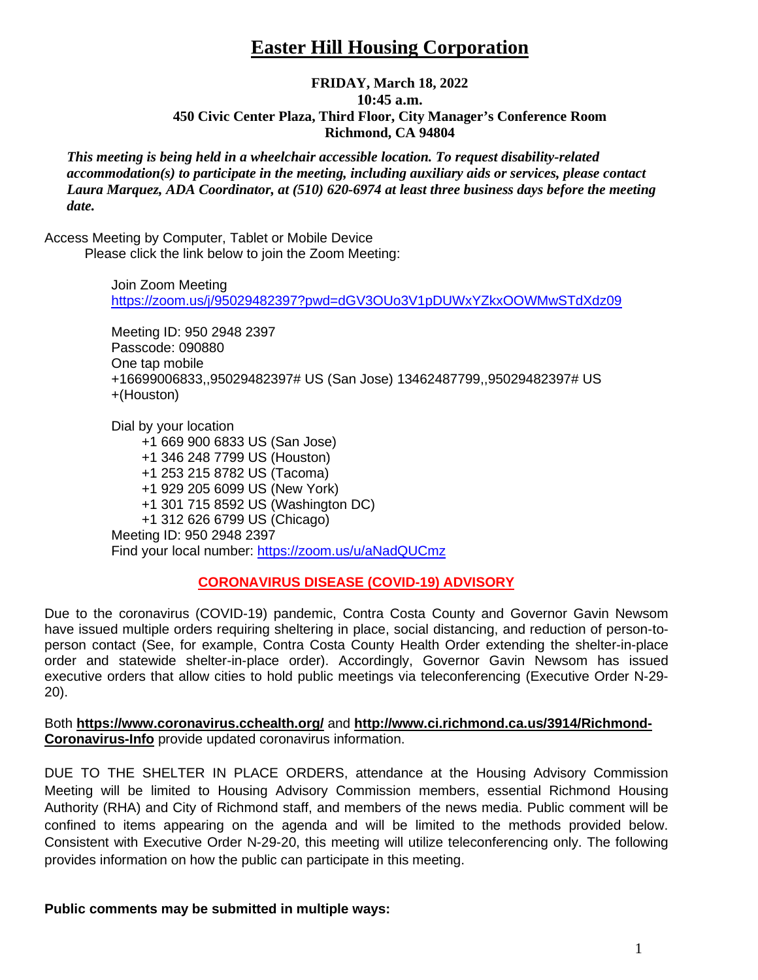# **Easter Hill Housing Corporation**

### **FRIDAY, March 18, 2022 10:45 a.m. 450 Civic Center Plaza, Third Floor, City Manager's Conference Room Richmond, CA 94804**

*This meeting is being held in a wheelchair accessible location. To request disability-related accommodation(s) to participate in the meeting, including auxiliary aids or services, please contact Laura Marquez, ADA Coordinator, at (510) 620-6974 at least three business days before the meeting date.*

Access Meeting by Computer, Tablet or Mobile Device Please click the link below to join the Zoom Meeting:

> Join Zoom Meeting <https://zoom.us/j/95029482397?pwd=dGV3OUo3V1pDUWxYZkxOOWMwSTdXdz09>

Meeting ID: 950 2948 2397 Passcode: 090880 One tap mobile +16699006833,,95029482397# US (San Jose) 13462487799,,95029482397# US +(Houston)

Dial by your location +1 669 900 6833 US (San Jose) +1 346 248 7799 US (Houston) +1 253 215 8782 US (Tacoma) +1 929 205 6099 US (New York) +1 301 715 8592 US (Washington DC) +1 312 626 6799 US (Chicago) Meeting ID: 950 2948 2397 Find your local number:<https://zoom.us/u/aNadQUCmz>

## **CORONAVIRUS DISEASE (COVID-19) ADVISORY**

Due to the coronavirus (COVID-19) pandemic, Contra Costa County and Governor Gavin Newsom have issued multiple orders requiring sheltering in place, social distancing, and reduction of person-toperson contact (See, for example, Contra Costa County Health Order extending the shelter-in-place order and statewide shelter-in-place order). Accordingly, Governor Gavin Newsom has issued executive orders that allow cities to hold public meetings via teleconferencing (Executive Order N-29- 20).

Both **<https://www.coronavirus.cchealth.org/>** and **[http://www.ci.richmond.ca.us/3914/Richmond-](http://www.ci.richmond.ca.us/3914/Richmond-Coronavirus-Info)[Coronavirus-Info](http://www.ci.richmond.ca.us/3914/Richmond-Coronavirus-Info)** provide updated coronavirus information.

DUE TO THE SHELTER IN PLACE ORDERS, attendance at the Housing Advisory Commission Meeting will be limited to Housing Advisory Commission members, essential Richmond Housing Authority (RHA) and City of Richmond staff, and members of the news media. Public comment will be confined to items appearing on the agenda and will be limited to the methods provided below. Consistent with Executive Order N-29-20, this meeting will utilize teleconferencing only. The following provides information on how the public can participate in this meeting.

**Public comments may be submitted in multiple ways:**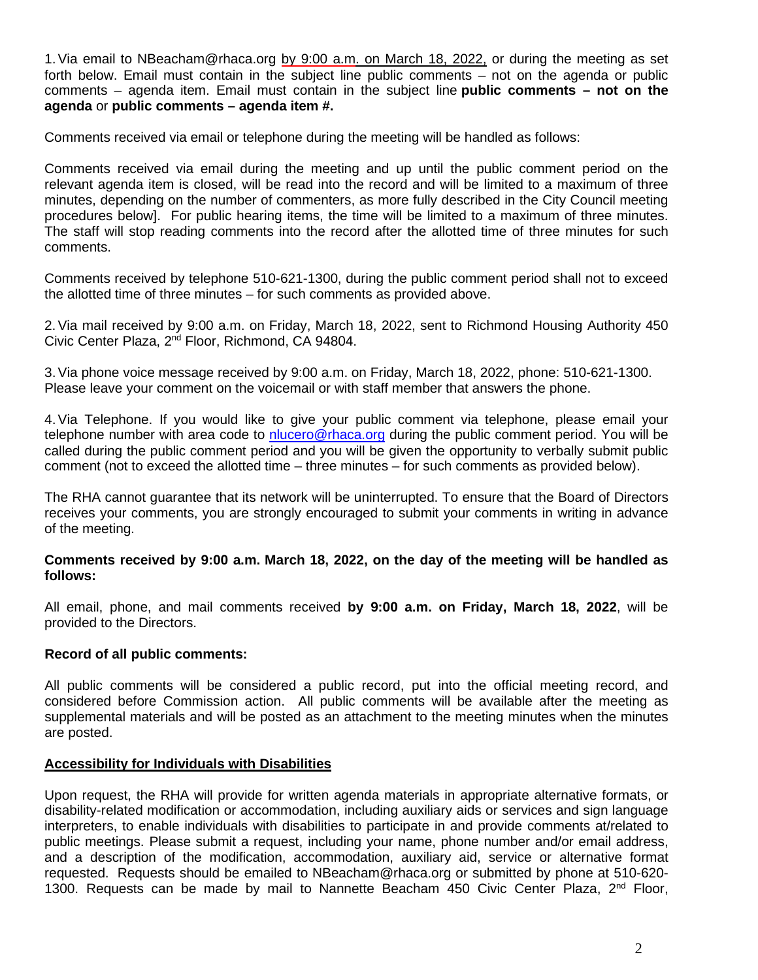1. Via email to NBeacham@rhaca.org by 9:00 a.m. on March 18, 2022, or during the meeting as set forth below. Email must contain in the subject line public comments – not on the agenda or public comments – agenda item. Email must contain in the subject line **public comments – not on the agenda** or **public comments – agenda item #.**

Comments received via email or telephone during the meeting will be handled as follows:

Comments received via email during the meeting and up until the public comment period on the relevant agenda item is closed, will be read into the record and will be limited to a maximum of three minutes, depending on the number of commenters, as more fully described in the City Council meeting procedures below]. For public hearing items, the time will be limited to a maximum of three minutes. The staff will stop reading comments into the record after the allotted time of three minutes for such comments.

Comments received by telephone 510-621-1300, during the public comment period shall not to exceed the allotted time of three minutes – for such comments as provided above.

2.Via mail received by 9:00 a.m. on Friday, March 18, 2022, sent to Richmond Housing Authority 450 Civic Center Plaza, 2nd Floor, Richmond, CA 94804.

3.Via phone voice message received by 9:00 a.m. on Friday, March 18, 2022, phone: 510-621-1300. Please leave your comment on the voicemail or with staff member that answers the phone.

4.Via Telephone. If you would like to give your public comment via telephone, please email your telephone number with area code to [nlucero@rhaca.org](mailto:nlucero@rhaca.org) during the public comment period. You will be called during the public comment period and you will be given the opportunity to verbally submit public comment (not to exceed the allotted time – three minutes – for such comments as provided below).

The RHA cannot guarantee that its network will be uninterrupted. To ensure that the Board of Directors receives your comments, you are strongly encouraged to submit your comments in writing in advance of the meeting.

#### **Comments received by 9:00 a.m. March 18, 2022, on the day of the meeting will be handled as follows:**

All email, phone, and mail comments received **by 9:00 a.m. on Friday, March 18, 2022**, will be provided to the Directors.

#### **Record of all public comments:**

All public comments will be considered a public record, put into the official meeting record, and considered before Commission action. All public comments will be available after the meeting as supplemental materials and will be posted as an attachment to the meeting minutes when the minutes are posted.

#### **Accessibility for Individuals with Disabilities**

Upon request, the RHA will provide for written agenda materials in appropriate alternative formats, or disability-related modification or accommodation, including auxiliary aids or services and sign language interpreters, to enable individuals with disabilities to participate in and provide comments at/related to public meetings. Please submit a request, including your name, phone number and/or email address, and a description of the modification, accommodation, auxiliary aid, service or alternative format requested. Requests should be emailed to NBeacham@rhaca.org or submitted by phone at 510-620- 1300. Requests can be made by mail to Nannette Beacham 450 Civic Center Plaza,  $2^{nd}$  Floor,